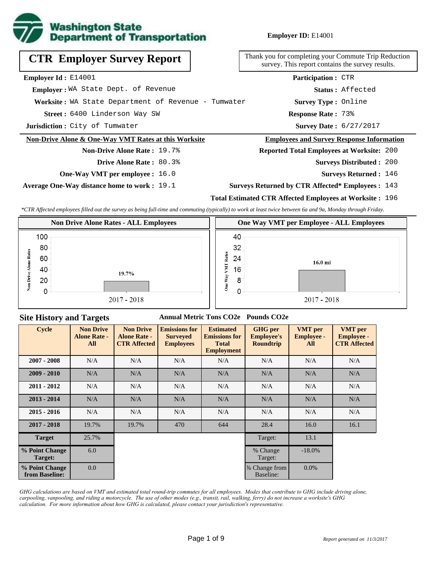

**Employer ID:** E14001

| <b>CTR Employer Survey Report</b>                    | Thank you for completing your Commute Trip Reduc<br>survey. This report contains the survey results. |
|------------------------------------------------------|------------------------------------------------------------------------------------------------------|
| Employer Id: E14001                                  | <b>Participation: CTR</b>                                                                            |
| Emplover: WA State Dept. of Revenue                  | Status: Affected                                                                                     |
| Worksite: WA State Department of Revenue - Tumwater  | <b>Survey Type: Online</b>                                                                           |
| Street: 6400 Linderson Way SW                        | <b>Response Rate: 73%</b>                                                                            |
| Jurisdiction: City of Tumwater                       | <b>Survey Date: 6/27/2017</b>                                                                        |
| Non-Drive Alone & One-Way VMT Rates at this Worksite | <b>Employees and Survey Response Information</b>                                                     |
| <b>Non-Drive Alone Rate: 19.7%</b>                   | <b>Reported Total Employees at Worksite: 200</b>                                                     |
| <b>Drive Alone Rate: 80.3%</b>                       | <b>Surveys Distributed : 200</b>                                                                     |
| <b>One-Way VMT per employee :</b> 16.0               | Surveys Returned: 146                                                                                |

**Average One-Way distance home to work :** 19.1

eduction<sup></sup> survey. This report contains the survey results.

#### <u>mation</u>

- 200
	- **Surveys Returned :** 146

#### **Surveys Returned by CTR Affected\* Employees :** 143

### **Total Estimated CTR Affected Employees at Worksite :** 196

*\*CTR Affected employees filled out the survey as being full-time and commuting (typically) to work at least twice between 6a and 9a, Monday through Friday.*



### **Site History and Targets**

#### **Annual Metric Tons CO2e Pounds CO2e**

| <b>Cycle</b>                     | <b>Non Drive</b><br><b>Alone Rate -</b><br>All | <b>Non Drive</b><br><b>Alone Rate -</b><br><b>CTR Affected</b> | <b>Emissions for</b><br><b>Surveyed</b><br><b>Employees</b> | <b>Estimated</b><br><b>Emissions for</b><br><b>Total</b><br><b>Employment</b> | <b>GHG</b> per<br><b>Employee's</b><br><b>Roundtrip</b> | <b>VMT</b> per<br><b>Employee -</b><br>All | <b>VMT</b> per<br><b>Employee -</b><br><b>CTR Affected</b> |
|----------------------------------|------------------------------------------------|----------------------------------------------------------------|-------------------------------------------------------------|-------------------------------------------------------------------------------|---------------------------------------------------------|--------------------------------------------|------------------------------------------------------------|
| $2007 - 2008$                    | N/A                                            | N/A                                                            | N/A                                                         | N/A                                                                           | N/A                                                     | N/A                                        | N/A                                                        |
| $2009 - 2010$                    | N/A                                            | N/A                                                            | N/A                                                         | N/A                                                                           | N/A                                                     | N/A                                        | N/A                                                        |
| $2011 - 2012$                    | N/A                                            | N/A                                                            | N/A                                                         | N/A                                                                           | N/A                                                     | N/A                                        | N/A                                                        |
| $2013 - 2014$                    | N/A                                            | N/A                                                            | N/A                                                         | N/A                                                                           | N/A                                                     | N/A                                        | N/A                                                        |
| $2015 - 2016$                    | N/A                                            | N/A                                                            | N/A                                                         | N/A                                                                           | N/A                                                     | N/A                                        | N/A                                                        |
| $2017 - 2018$                    | 19.7%                                          | 19.7%                                                          | 470                                                         | 644                                                                           | 28.4                                                    | 16.0                                       | 16.1                                                       |
| <b>Target</b>                    | 25.7%                                          |                                                                |                                                             |                                                                               | Target:                                                 | 13.1                                       |                                                            |
| % Point Change<br>Target:        | 6.0                                            |                                                                |                                                             |                                                                               | % Change<br>Target:                                     | $-18.0\%$                                  |                                                            |
| % Point Change<br>from Baseline: | 0.0                                            |                                                                |                                                             |                                                                               | % Change from<br>Baseline:                              | $0.0\%$                                    |                                                            |

*GHG calculations are based on VMT and estimated total round-trip commutes for all employees. Modes that contribute to GHG include driving alone, carpooling, vanpooling, and riding a motorcycle. The use of other modes (e.g., transit, rail, walking, ferry) do not increase a worksite's GHG calculation. For more information about how GHG is calculated, please contact your jurisdiction's representative.*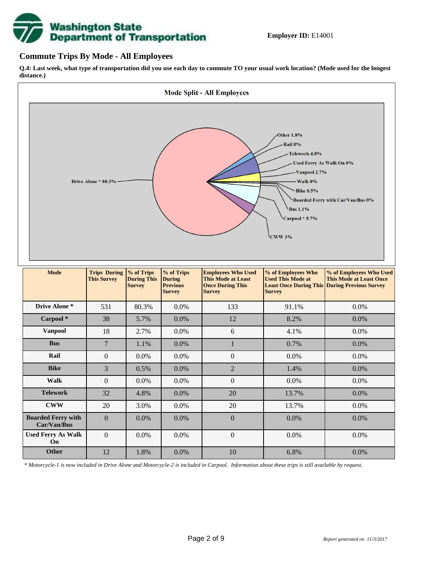

### **Commute Trips By Mode - All Employees**

**Q.4: Last week, what type of transportation did you use each day to commute TO your usual work location? (Mode used for the longest distance.)**



*\* Motorcycle-1 is now included in Drive Alone and Motorcycle-2 is included in Carpool. Information about these trips is still available by request.*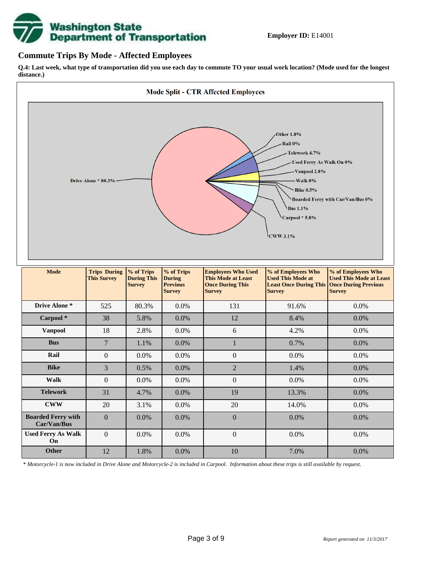

### **Commute Trips By Mode - Affected Employees**

**Q.4: Last week, what type of transportation did you use each day to commute TO your usual work location? (Mode used for the longest distance.)**



*\* Motorcycle-1 is now included in Drive Alone and Motorcycle-2 is included in Carpool. Information about these trips is still available by request.*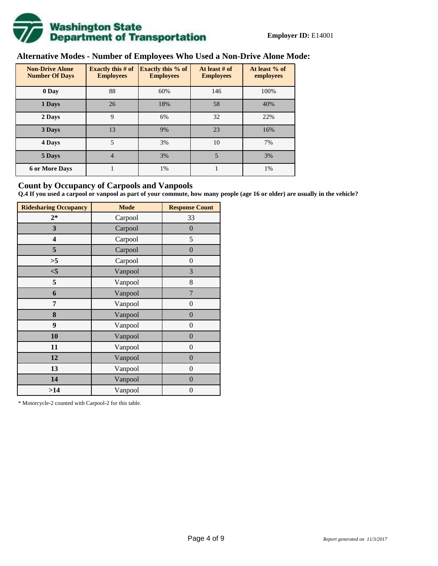

# **Alternative Modes - Number of Employees Who Used a Non-Drive Alone Mode:**

| <b>Non-Drive Alone</b><br><b>Number Of Days</b> | Exactly this $# of$<br><b>Employees</b> | <b>Exactly this % of</b><br><b>Employees</b> | At least # of<br><b>Employees</b> | At least % of<br>employees |
|-------------------------------------------------|-----------------------------------------|----------------------------------------------|-----------------------------------|----------------------------|
| 0 Day                                           | 88                                      | 60%                                          | 146                               | 100%                       |
| 1 Days                                          | 26                                      | 18%                                          | 58                                | 40%                        |
| 2 Days                                          | 9                                       | 6%                                           | 32                                | 22%                        |
| 3 Days                                          | 13                                      | 9%                                           | 23                                | 16%                        |
| 4 Days                                          | 5                                       | 3%                                           | 10                                | 7%                         |
| 5 Days                                          | 4                                       | 3%                                           | 5                                 | 3%                         |
| <b>6 or More Days</b>                           |                                         | 1%                                           |                                   | 1%                         |

### **Count by Occupancy of Carpools and Vanpools**

**Q.4 If you used a carpool or vanpool as part of your commute, how many people (age 16 or older) are usually in the vehicle?**

| <b>Ridesharing Occupancy</b> | <b>Mode</b> | <b>Response Count</b> |
|------------------------------|-------------|-----------------------|
| $2*$                         | Carpool     | 33                    |
| 3                            | Carpool     | $\overline{0}$        |
| 4                            | Carpool     | 5                     |
| 5                            | Carpool     | $\boldsymbol{0}$      |
| >5                           | Carpool     | $\boldsymbol{0}$      |
| $<$ 5                        | Vanpool     | 3                     |
| 5                            | Vanpool     | 8                     |
| 6                            | Vanpool     | 7                     |
| 7                            | Vanpool     | $\boldsymbol{0}$      |
| 8                            | Vanpool     | $\overline{0}$        |
| 9                            | Vanpool     | $\overline{0}$        |
| 10                           | Vanpool     | $\overline{0}$        |
| 11                           | Vanpool     | $\boldsymbol{0}$      |
| 12                           | Vanpool     | $\boldsymbol{0}$      |
| 13                           | Vanpool     | $\boldsymbol{0}$      |
| 14                           | Vanpool     | $\overline{0}$        |
| >14                          | Vanpool     | $\boldsymbol{0}$      |

\* Motorcycle-2 counted with Carpool-2 for this table.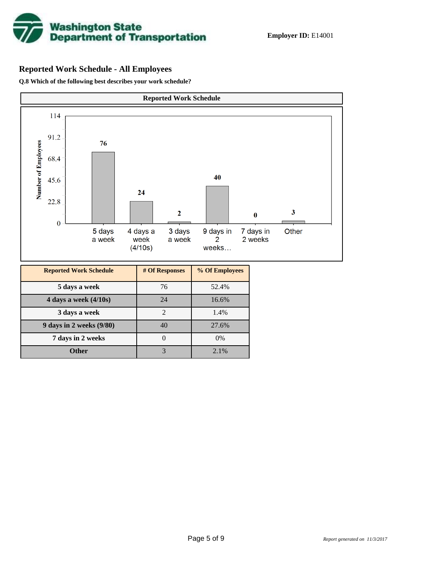

## **Reported Work Schedule - All Employees**

**Q.8 Which of the following best describes your work schedule?**

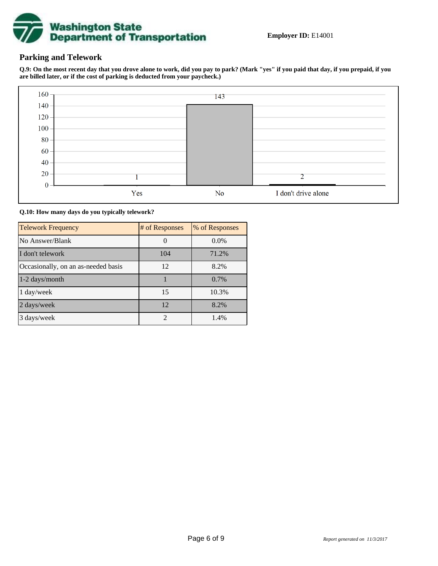

### **Parking and Telework**

**Q.9: On the most recent day that you drove alone to work, did you pay to park? (Mark "yes" if you paid that day, if you prepaid, if you are billed later, or if the cost of parking is deducted from your paycheck.)**



**Q.10: How many days do you typically telework?**

| <b>Telework Frequency</b>           | # of Responses | % of Responses |
|-------------------------------------|----------------|----------------|
| No Answer/Blank                     |                | $0.0\%$        |
| I don't telework                    | 104            | 71.2%          |
| Occasionally, on an as-needed basis | 12             | 8.2%           |
| 1-2 days/month                      |                | 0.7%           |
| 1 day/week                          | 15             | 10.3%          |
| 2 days/week                         | 12             | 8.2%           |
| 3 days/week                         | $\mathfrak{D}$ | 1.4%           |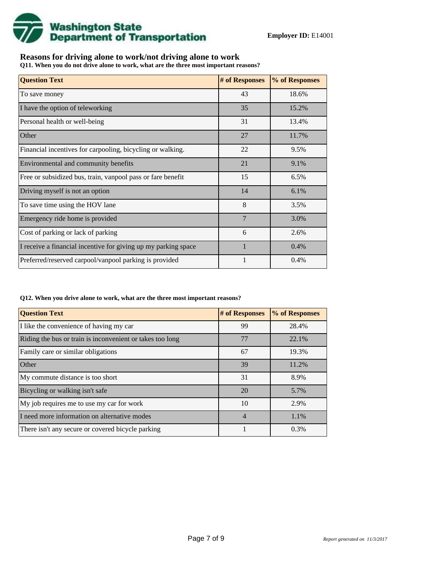

## **Reasons for driving alone to work/not driving alone to work**

**Q11. When you do not drive alone to work, what are the three most important reasons?**

| <b>Question Text</b>                                           | # of Responses | % of Responses |
|----------------------------------------------------------------|----------------|----------------|
| To save money                                                  | 43             | 18.6%          |
| I have the option of teleworking                               | 35             | 15.2%          |
| Personal health or well-being                                  | 31             | 13.4%          |
| Other                                                          | 27             | 11.7%          |
| Financial incentives for carpooling, bicycling or walking.     | 22             | 9.5%           |
| Environmental and community benefits                           | 21             | 9.1%           |
| Free or subsidized bus, train, vanpool pass or fare benefit    | 15             | 6.5%           |
| Driving myself is not an option                                | 14             | 6.1%           |
| To save time using the HOV lane                                | 8              | 3.5%           |
| Emergency ride home is provided                                | 7              | 3.0%           |
| Cost of parking or lack of parking                             | 6              | 2.6%           |
| I receive a financial incentive for giving up my parking space | $\mathbf{1}$   | 0.4%           |
| Preferred/reserved carpool/vanpool parking is provided         |                | 0.4%           |

#### **Q12. When you drive alone to work, what are the three most important reasons?**

| <b>Question Text</b>                                      | # of Responses | % of Responses |
|-----------------------------------------------------------|----------------|----------------|
| I like the convenience of having my car                   | 99             | 28.4%          |
| Riding the bus or train is inconvenient or takes too long | 77             | 22.1%          |
| Family care or similar obligations                        | 67             | 19.3%          |
| Other                                                     | 39             | 11.2%          |
| My commute distance is too short                          | 31             | 8.9%           |
| Bicycling or walking isn't safe                           | 20             | 5.7%           |
| My job requires me to use my car for work                 | 10             | 2.9%           |
| I need more information on alternative modes              | $\overline{4}$ | 1.1%           |
| There isn't any secure or covered bicycle parking         |                | 0.3%           |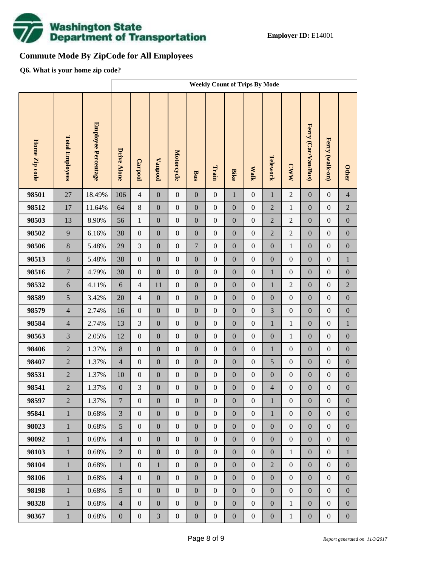

# **Commute Mode By ZipCode for All Employees**

**Q6. What is your home zip code?**

|               |                        |                     | <b>Weekly Count of Trips By Mode</b> |                  |                  |                  |                  |                  |                  |                  |                  |                  |                     |                  |                  |
|---------------|------------------------|---------------------|--------------------------------------|------------------|------------------|------------------|------------------|------------------|------------------|------------------|------------------|------------------|---------------------|------------------|------------------|
| Home Zip code | <b>Total Employees</b> | Employee Percentage | <b>Drive Alone</b>                   | Carpool          | <b>Vanpool</b>   | Motorcycle       | <b>Bus</b>       | Train            | <b>Bike</b>      | <b>Walk</b>      | Telework         | <b>CWW</b>       | Ferry (Car/Van/Bus) | Ferry (walk-on)  | <b>Other</b>     |
| 98501         | 27                     | 18.49%              | 106                                  | $\overline{4}$   | $\boldsymbol{0}$ | $\boldsymbol{0}$ | $\boldsymbol{0}$ | $\boldsymbol{0}$ | $\mathbf 1$      | $\boldsymbol{0}$ | $\mathbf{1}$     | $\sqrt{2}$       | $\mathbf{0}$        | $\boldsymbol{0}$ | $\overline{4}$   |
| 98512         | 17                     | 11.64%              | 64                                   | $\,8\,$          | $\boldsymbol{0}$ | $\boldsymbol{0}$ | $\boldsymbol{0}$ | $\boldsymbol{0}$ | $\boldsymbol{0}$ | $\boldsymbol{0}$ | $\overline{2}$   | $\mathbf{1}$     | $\boldsymbol{0}$    | $\boldsymbol{0}$ | $\sqrt{2}$       |
| 98503         | 13                     | 8.90%               | 56                                   | $\mathbf{1}$     | $\boldsymbol{0}$ | $\boldsymbol{0}$ | $\boldsymbol{0}$ | $\boldsymbol{0}$ | $\boldsymbol{0}$ | $\boldsymbol{0}$ | $\overline{2}$   | $\overline{c}$   | $\boldsymbol{0}$    | $\boldsymbol{0}$ | $\boldsymbol{0}$ |
| 98502         | 9                      | 6.16%               | 38                                   | $\boldsymbol{0}$ | $\boldsymbol{0}$ | $\boldsymbol{0}$ | $\boldsymbol{0}$ | $\boldsymbol{0}$ | $\overline{0}$   | $\boldsymbol{0}$ | $\overline{2}$   | $\overline{2}$   | $\boldsymbol{0}$    | $\boldsymbol{0}$ | $\boldsymbol{0}$ |
| 98506         | 8                      | 5.48%               | 29                                   | 3                | $\boldsymbol{0}$ | $\boldsymbol{0}$ | $\overline{7}$   | $\boldsymbol{0}$ | $\boldsymbol{0}$ | $\boldsymbol{0}$ | $\boldsymbol{0}$ | $\mathbf{1}$     | $\boldsymbol{0}$    | $\boldsymbol{0}$ | $\boldsymbol{0}$ |
| 98513         | $8\,$                  | 5.48%               | 38                                   | $\boldsymbol{0}$ | $\boldsymbol{0}$ | $\boldsymbol{0}$ | $\boldsymbol{0}$ | $\boldsymbol{0}$ | $\overline{0}$   | $\boldsymbol{0}$ | $\boldsymbol{0}$ | $\boldsymbol{0}$ | $\boldsymbol{0}$    | $\boldsymbol{0}$ | $\,1$            |
| 98516         | $\tau$                 | 4.79%               | 30                                   | $\boldsymbol{0}$ | $\boldsymbol{0}$ | $\boldsymbol{0}$ | $\boldsymbol{0}$ | $\boldsymbol{0}$ | $\boldsymbol{0}$ | $\boldsymbol{0}$ | $\mathbf{1}$     | $\boldsymbol{0}$ | $\boldsymbol{0}$    | $\boldsymbol{0}$ | $\boldsymbol{0}$ |
| 98532         | $\sqrt{6}$             | 4.11%               | 6                                    | $\overline{4}$   | 11               | $\boldsymbol{0}$ | $\boldsymbol{0}$ | $\boldsymbol{0}$ | $\overline{0}$   | $\boldsymbol{0}$ | $\mathbf{1}$     | $\overline{2}$   | $\boldsymbol{0}$    | $\boldsymbol{0}$ | $\sqrt{2}$       |
| 98589         | 5                      | 3.42%               | 20                                   | $\overline{4}$   | $\boldsymbol{0}$ | $\boldsymbol{0}$ | $\boldsymbol{0}$ | $\boldsymbol{0}$ | $\boldsymbol{0}$ | $\boldsymbol{0}$ | $\boldsymbol{0}$ | $\boldsymbol{0}$ | $\boldsymbol{0}$    | $\boldsymbol{0}$ | $\boldsymbol{0}$ |
| 98579         | $\overline{4}$         | 2.74%               | 16                                   | $\boldsymbol{0}$ | $\boldsymbol{0}$ | $\boldsymbol{0}$ | $\boldsymbol{0}$ | $\boldsymbol{0}$ | $\overline{0}$   | $\boldsymbol{0}$ | 3                | $\boldsymbol{0}$ | $\boldsymbol{0}$    | $\boldsymbol{0}$ | $\boldsymbol{0}$ |
| 98584         | $\overline{4}$         | 2.74%               | 13                                   | 3                | $\boldsymbol{0}$ | $\boldsymbol{0}$ | $\boldsymbol{0}$ | $\boldsymbol{0}$ | $\boldsymbol{0}$ | $\boldsymbol{0}$ | $\mathbf{1}$     | $\mathbf{1}$     | $\boldsymbol{0}$    | $\boldsymbol{0}$ | $\,1\,$          |
| 98563         | $\overline{3}$         | 2.05%               | 12                                   | $\boldsymbol{0}$ | $\boldsymbol{0}$ | $\boldsymbol{0}$ | $\boldsymbol{0}$ | $\boldsymbol{0}$ | $\overline{0}$   | $\boldsymbol{0}$ | $\boldsymbol{0}$ | $\mathbf{1}$     | $\boldsymbol{0}$    | $\boldsymbol{0}$ | $\boldsymbol{0}$ |
| 98406         | $\sqrt{2}$             | 1.37%               | $8\,$                                | $\boldsymbol{0}$ | $\boldsymbol{0}$ | $\boldsymbol{0}$ | $\boldsymbol{0}$ | $\boldsymbol{0}$ | $\boldsymbol{0}$ | $\boldsymbol{0}$ | $\mathbf{1}$     | $\boldsymbol{0}$ | $\boldsymbol{0}$    | $\boldsymbol{0}$ | $\boldsymbol{0}$ |
| 98407         | $\overline{2}$         | 1.37%               | $\overline{4}$                       | $\boldsymbol{0}$ | $\boldsymbol{0}$ | $\boldsymbol{0}$ | $\boldsymbol{0}$ | $\boldsymbol{0}$ | $\overline{0}$   | $\boldsymbol{0}$ | 5                | $\boldsymbol{0}$ | $\boldsymbol{0}$    | $\boldsymbol{0}$ | $\boldsymbol{0}$ |
| 98531         | $\overline{2}$         | 1.37%               | 10                                   | $\boldsymbol{0}$ | $\boldsymbol{0}$ | $\boldsymbol{0}$ | $\boldsymbol{0}$ | $\boldsymbol{0}$ | $\boldsymbol{0}$ | $\boldsymbol{0}$ | $\boldsymbol{0}$ | $\boldsymbol{0}$ | $\boldsymbol{0}$    | $\boldsymbol{0}$ | $\boldsymbol{0}$ |
| 98541         | $\overline{c}$         | 1.37%               | $\boldsymbol{0}$                     | 3                | $\boldsymbol{0}$ | $\boldsymbol{0}$ | $\boldsymbol{0}$ | $\boldsymbol{0}$ | $\mathbf{0}$     | $\boldsymbol{0}$ | $\overline{4}$   | $\boldsymbol{0}$ | $\boldsymbol{0}$    | $\boldsymbol{0}$ | $\boldsymbol{0}$ |
| 98597         | $\overline{2}$         | 1.37%               | $\boldsymbol{7}$                     | $\boldsymbol{0}$ | $\boldsymbol{0}$ | $\boldsymbol{0}$ | $\boldsymbol{0}$ | $\boldsymbol{0}$ | $\boldsymbol{0}$ | $\boldsymbol{0}$ | $\mathbf{1}$     | $\boldsymbol{0}$ | $\boldsymbol{0}$    | $\boldsymbol{0}$ | $\boldsymbol{0}$ |
| 95841         | $\mathbf{1}$           | 0.68%               | $\overline{3}$                       | $\overline{0}$   | $\boldsymbol{0}$ | $\boldsymbol{0}$ | $\boldsymbol{0}$ | $\boldsymbol{0}$ | $\overline{0}$   | $\boldsymbol{0}$ | $\mathbf{1}$     | $\boldsymbol{0}$ | $\boldsymbol{0}$    | $\boldsymbol{0}$ | $\mathbf{0}$     |
| 98023         | $\,1$                  | 0.68%               | 5                                    | $\boldsymbol{0}$ | $\boldsymbol{0}$ | $\boldsymbol{0}$ | $\boldsymbol{0}$ | $\boldsymbol{0}$ | $\boldsymbol{0}$ | $\boldsymbol{0}$ | $\boldsymbol{0}$ | $\boldsymbol{0}$ | $\boldsymbol{0}$    | $\boldsymbol{0}$ | $\boldsymbol{0}$ |
| 98092         | $\mathbf{1}$           | 0.68%               | $\overline{4}$                       | $\boldsymbol{0}$ | $\boldsymbol{0}$ | $\boldsymbol{0}$ | $\boldsymbol{0}$ | $\boldsymbol{0}$ | $\boldsymbol{0}$ | $\boldsymbol{0}$ | $\boldsymbol{0}$ | $\boldsymbol{0}$ | $\boldsymbol{0}$    | $\boldsymbol{0}$ | $\boldsymbol{0}$ |
| 98103         | $\mathbf{1}$           | 0.68%               | $\overline{2}$                       | $\boldsymbol{0}$ | $\boldsymbol{0}$ | $\boldsymbol{0}$ | $\boldsymbol{0}$ | $\boldsymbol{0}$ | $\boldsymbol{0}$ | $\boldsymbol{0}$ | $\boldsymbol{0}$ | $\,1$            | $\boldsymbol{0}$    | $\boldsymbol{0}$ | $\mathbf{1}$     |
| 98104         | $\mathbf{1}$           | 0.68%               | $\mathbf{1}$                         | $\boldsymbol{0}$ | $\mathbf{1}$     | $\boldsymbol{0}$ | $\boldsymbol{0}$ | $\boldsymbol{0}$ | $\boldsymbol{0}$ | $\boldsymbol{0}$ | $\overline{2}$   | $\boldsymbol{0}$ | $\boldsymbol{0}$    | $\boldsymbol{0}$ | $\boldsymbol{0}$ |
| 98106         | $\mathbf{1}$           | 0.68%               | $\overline{4}$                       | $\boldsymbol{0}$ | $\boldsymbol{0}$ | $\boldsymbol{0}$ | $\boldsymbol{0}$ | $\boldsymbol{0}$ | $\boldsymbol{0}$ | $\boldsymbol{0}$ | $\boldsymbol{0}$ | $\boldsymbol{0}$ | $\boldsymbol{0}$    | $\boldsymbol{0}$ | $\boldsymbol{0}$ |
| 98198         | $\mathbf{1}$           | 0.68%               | 5                                    | $\boldsymbol{0}$ | $\boldsymbol{0}$ | $\boldsymbol{0}$ | $\boldsymbol{0}$ | $\boldsymbol{0}$ | $\boldsymbol{0}$ | $\boldsymbol{0}$ | $\boldsymbol{0}$ | $\boldsymbol{0}$ | $\boldsymbol{0}$    | $\boldsymbol{0}$ | $\boldsymbol{0}$ |
| 98328         | $\,1\,$                | 0.68%               | $\overline{4}$                       | $\boldsymbol{0}$ | $\boldsymbol{0}$ | $\boldsymbol{0}$ | $\boldsymbol{0}$ | $\boldsymbol{0}$ | $\overline{0}$   | $\boldsymbol{0}$ | $\boldsymbol{0}$ | $\,1$            | $\boldsymbol{0}$    | $\boldsymbol{0}$ | $\boldsymbol{0}$ |
| 98367         | $1\,$                  | 0.68%               | $\boldsymbol{0}$                     | $\boldsymbol{0}$ | 3                | $\boldsymbol{0}$ | $\boldsymbol{0}$ | $\boldsymbol{0}$ | $\boldsymbol{0}$ | $\boldsymbol{0}$ | $\boldsymbol{0}$ | $\mathbf{1}$     | $\boldsymbol{0}$    | $\boldsymbol{0}$ | $\boldsymbol{0}$ |